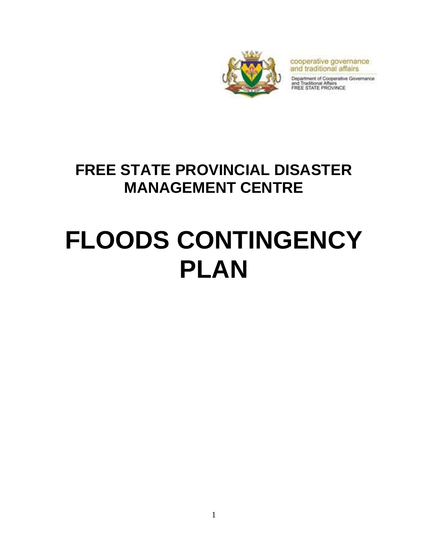

cooperative governance and traditional affairs

Department of Cooperative Governance<br>and Traditional Affairs<br>FREE STATE PROVINCE

# **FREE STATE PROVINCIAL DISASTER MANAGEMENT CENTRE**

# **FLOODS CONTINGENCY PLAN**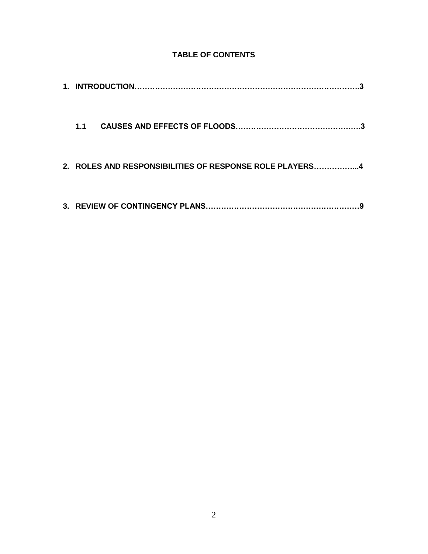### **TABLE OF CONTENTS**

| 1.1                                                     |  |
|---------------------------------------------------------|--|
| 2. ROLES AND RESPONSIBILITIES OF RESPONSE ROLE PLAYERS4 |  |
|                                                         |  |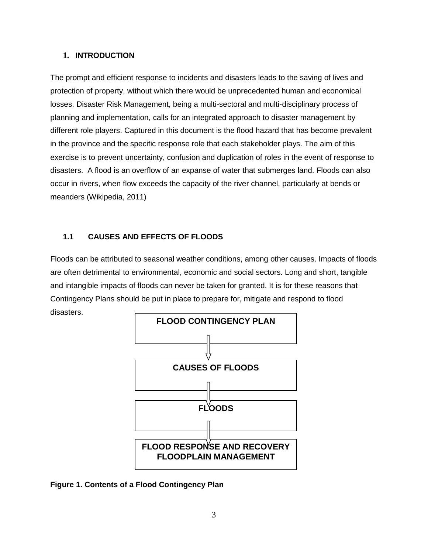#### **1. INTRODUCTION**

The prompt and efficient response to incidents and disasters leads to the saving of lives and protection of property, without which there would be unprecedented human and economical losses. Disaster Risk Management, being a multi-sectoral and multi-disciplinary process of planning and implementation, calls for an integrated approach to disaster management by different role players. Captured in this document is the flood hazard that has become prevalent in the province and the specific response role that each stakeholder plays. The aim of this exercise is to prevent uncertainty, confusion and duplication of roles in the event of response to disasters. A flood is an overflow of an expanse of water that submerges land. Floods can also occur in rivers, when flow exceeds the capacity of the river channel, particularly at bends or meanders (Wikipedia, 2011)

#### **1.1 CAUSES AND EFFECTS OF FLOODS**

Floods can be attributed to seasonal weather conditions, among other causes. Impacts of floods are often detrimental to environmental, economic and social sectors. Long and short, tangible and intangible impacts of floods can never be taken for granted. It is for these reasons that Contingency Plans should be put in place to prepare for, mitigate and respond to flood disasters.



**Figure 1. Contents of a Flood Contingency Plan**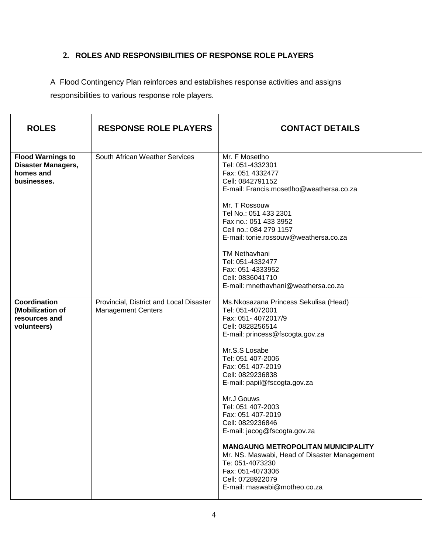## **2. ROLES AND RESPONSIBILITIES OF RESPONSE ROLE PLAYERS**

A Flood Contingency Plan reinforces and establishes response activities and assigns responsibilities to various response role players.

| <b>ROLES</b>                                                               | <b>RESPONSE ROLE PLAYERS</b>                                         | <b>CONTACT DETAILS</b>                                                                                                                                                                                                                                                                                                                                                                                                                                                                                                                                    |
|----------------------------------------------------------------------------|----------------------------------------------------------------------|-----------------------------------------------------------------------------------------------------------------------------------------------------------------------------------------------------------------------------------------------------------------------------------------------------------------------------------------------------------------------------------------------------------------------------------------------------------------------------------------------------------------------------------------------------------|
| <b>Flood Warnings to</b><br>Disaster Managers,<br>homes and<br>businesses. | South African Weather Services                                       | Mr. F Mosetlho<br>Tel: 051-4332301<br>Fax: 051 4332477<br>Cell: 0842791152<br>E-mail: Francis.mosetlho@weathersa.co.za<br>Mr. T Rossouw<br>Tel No.: 051 433 2301<br>Fax no.: 051 433 3952<br>Cell no.: 084 279 1157<br>E-mail: tonie.rossouw@weathersa.co.za<br><b>TM Nethavhani</b><br>Tel: 051-4332477<br>Fax: 051-4333952<br>Cell: 0836041710<br>E-mail: mnethavhani@weathersa.co.za                                                                                                                                                                   |
| <b>Coordination</b><br>(Mobilization of<br>resources and<br>volunteers)    | Provincial, District and Local Disaster<br><b>Management Centers</b> | Ms.Nkosazana Princess Sekulisa (Head)<br>Tel: 051-4072001<br>Fax: 051-4072017/9<br>Cell: 0828256514<br>E-mail: princess@fscogta.gov.za<br>Mr.S.S Losabe<br>Tel: 051 407-2006<br>Fax: 051 407-2019<br>Cell: 0829236838<br>E-mail: papil@fscogta.gov.za<br>Mr.J Gouws<br>Tel: 051 407-2003<br>Fax: 051 407-2019<br>Cell: 0829236846<br>E-mail: jacog@fscogta.gov.za<br><b>MANGAUNG METROPOLITAN MUNICIPALITY</b><br>Mr. NS. Maswabi, Head of Disaster Management<br>Te: 051-4073230<br>Fax: 051-4073306<br>Cell: 0728922079<br>E-mail: maswabi@motheo.co.za |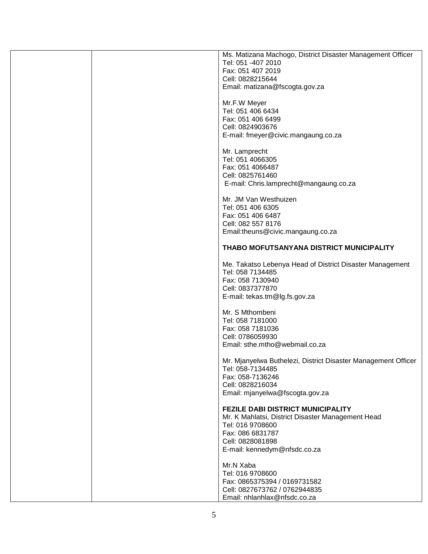| Ms. Matizana Machogo, District Disaster Management Officer    |
|---------------------------------------------------------------|
| Tel: 051 -407 2010                                            |
| Fax: 051 407 2019                                             |
| Cell: 0828215644                                              |
|                                                               |
| Email: matizana@fscogta.gov.za                                |
|                                                               |
| Mr.F.W Meyer                                                  |
| Tel: 051 406 6434                                             |
| Fax: 051 406 6499                                             |
|                                                               |
| Cell: 0824903676                                              |
| E-mail: fmeyer@civic.mangaung.co.za                           |
|                                                               |
| Mr. Lamprecht                                                 |
| Tel: 051 4066305                                              |
|                                                               |
| Fax: 051 4066487                                              |
| Cell: 0825761460                                              |
| E-mail: Chris.lamprecht@mangaung.co.za                        |
|                                                               |
| Mr. JM Van Westhuizen                                         |
|                                                               |
| Tel: 051 406 6305                                             |
| Fax: 051 406 6487                                             |
| Cell: 082 557 8176                                            |
| Email:theuns@civic.mangaung.co.za                             |
|                                                               |
|                                                               |
| THABO MOFUTSANYANA DISTRICT MUNICIPALITY                      |
|                                                               |
| Me. Takatso Lebenya Head of District Disaster Management      |
| Tel: 058 7134485                                              |
| Fax: 058 7130940                                              |
|                                                               |
| Cell: 0837377870                                              |
| E-mail: tekas.tm@lg.fs.gov.za                                 |
|                                                               |
| Mr. S Mthombeni                                               |
| Tel: 058 7181000                                              |
|                                                               |
| Fax: 058 7181036                                              |
| Cell: 0786059930                                              |
| Email: sthe.mtho@webmail.co.za                                |
|                                                               |
|                                                               |
|                                                               |
| Mr. Mjanyelwa Buthelezi, District Disaster Management Officer |
| Tel: 058-7134485                                              |
| Fax: 058-7136246                                              |
| Cell: 0828216034                                              |
|                                                               |
| Email: mjanyelwa@fscogta.gov.za                               |
|                                                               |
| <b>FEZILE DABI DISTRICT MUNICIPALITY</b>                      |
| Mr. K Mahlatsi, District Disaster Management Head             |
| Tel: 016 9708600                                              |
| Fax: 086 6831787                                              |
|                                                               |
| Cell: 0828081898                                              |
| E-mail: kennedym@nfsdc.co.za                                  |
|                                                               |
| Mr.N Xaba                                                     |
| Tel: 016 9708600                                              |
| Fax: 0865375394 / 0169731582                                  |
|                                                               |
| Cell: 0827673762 / 0762944835<br>Email: nhlanhlax@nfsdc.co.za |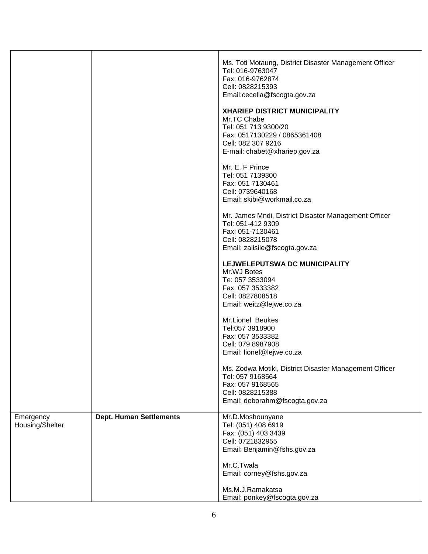|                              |                                | Ms. Toti Motaung, District Disaster Management Officer<br>Tel: 016-9763047<br>Fax: 016-9762874<br>Cell: 0828215393<br>Email:cecelia@fscogta.gov.za<br><b>XHARIEP DISTRICT MUNICIPALITY</b><br>Mr.TC Chabe<br>Tel: 051 713 9300/20<br>Fax: 0517130229 / 0865361408<br>Cell: 082 307 9216<br>E-mail: chabet@xhariep.gov.za<br>Mr. E. F Prince<br>Tel: 051 7139300<br>Fax: 051 7130461<br>Cell: 0739640168<br>Email: skibi@workmail.co.za<br>Mr. James Mndi, District Disaster Management Officer<br>Tel: 051-412 9309<br>Fax: 051-7130461<br>Cell: 0828215078<br>Email: zalisile@fscogta.gov.za |
|------------------------------|--------------------------------|-----------------------------------------------------------------------------------------------------------------------------------------------------------------------------------------------------------------------------------------------------------------------------------------------------------------------------------------------------------------------------------------------------------------------------------------------------------------------------------------------------------------------------------------------------------------------------------------------|
|                              |                                | LEJWELEPUTSWA DC MUNICIPALITY<br>Mr.WJ Botes<br>Te: 057 3533094<br>Fax: 057 3533382<br>Cell: 0827808518<br>Email: weitz@lejwe.co.za                                                                                                                                                                                                                                                                                                                                                                                                                                                           |
|                              |                                | Mr.Lionel Beukes<br>Tel:057 3918900<br>Fax: 057 3533382<br>Cell: 079 8987908<br>Email: lionel@lejwe.co.za                                                                                                                                                                                                                                                                                                                                                                                                                                                                                     |
|                              |                                | Ms. Zodwa Motiki, District Disaster Management Officer<br>Tel: 057 9168564<br>Fax: 057 9168565<br>Cell: 0828215388<br>Email: deborahm@fscogta.gov.za                                                                                                                                                                                                                                                                                                                                                                                                                                          |
| Emergency<br>Housing/Shelter | <b>Dept. Human Settlements</b> | Mr.D.Moshounyane<br>Tel: (051) 408 6919<br>Fax: (051) 403 3439<br>Cell: 0721832955<br>Email: Benjamin@fshs.gov.za                                                                                                                                                                                                                                                                                                                                                                                                                                                                             |
|                              |                                | Mr.C.Twala<br>Email: corney@fshs.gov.za                                                                                                                                                                                                                                                                                                                                                                                                                                                                                                                                                       |
|                              |                                | Ms.M.J.Ramakatsa<br>Email: ponkey@fscogta.gov.za                                                                                                                                                                                                                                                                                                                                                                                                                                                                                                                                              |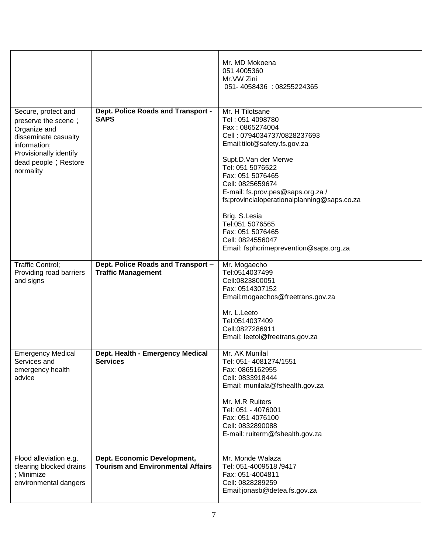| Secure, protect and                                                                                   | Dept. Police Roads and Transport -                                      | Mr. MD Mokoena<br>051 4005360<br>Mr. VW Zini<br>051-4058436: 08255224365<br>Mr. H Tilotsane                                                                          |
|-------------------------------------------------------------------------------------------------------|-------------------------------------------------------------------------|----------------------------------------------------------------------------------------------------------------------------------------------------------------------|
| preserve the scene;<br>Organize and<br>disseminate casualty<br>information;<br>Provisionally identify | <b>SAPS</b>                                                             | Tel: 051 4098780<br>Fax: 0865274004<br>Cell: 0794034737/0828237693<br>Email:tilot@safety.fs.gov.za                                                                   |
| dead people; Restore<br>normality                                                                     |                                                                         | Supt.D.Van der Merwe<br>Tel: 051 5076522<br>Fax: 051 5076465<br>Cell: 0825659674<br>E-mail: fs.prov.pes@saps.org.za /<br>fs:provincialoperationalplanning@saps.co.za |
|                                                                                                       |                                                                         | Brig. S.Lesia<br>Tel:051 5076565<br>Fax: 051 5076465<br>Cell: 0824556047<br>Email: fsphcrimeprevention@saps.org.za                                                   |
| Traffic Control;<br>Providing road barriers<br>and signs                                              | Dept. Police Roads and Transport -<br><b>Traffic Management</b>         | Mr. Mogaecho<br>Tel:0514037499<br>Cell:0823800051<br>Fax: 0514307152<br>Email:mogaechos@freetrans.gov.za                                                             |
|                                                                                                       |                                                                         | Mr. L.Leeto<br>Tel:0514037409<br>Cell:0827286911<br>Email: leetol@freetrans.gov.za                                                                                   |
| <b>Emergency Medical</b><br>Services and<br>emergency health<br>advice                                | Dept. Health - Emergency Medical<br><b>Services</b>                     | Mr. AK Munilal<br>Tel: 051-4081274/1551<br>Fax: 0865162955<br>Cell: 0833918444<br>Email: munilala@fshealth.gov.za                                                    |
|                                                                                                       |                                                                         | Mr. M.R Ruiters<br>Tel: 051 - 4076001<br>Fax: 051 4076100<br>Cell: 0832890088<br>E-mail: ruiterm@fshealth.gov.za                                                     |
| Flood alleviation e.g.<br>clearing blocked drains<br>; Minimize<br>environmental dangers              | Dept. Economic Development,<br><b>Tourism and Environmental Affairs</b> | Mr. Monde Walaza<br>Tel: 051-4009518 /9417<br>Fax: 051-4004811<br>Cell: 0828289259<br>Email:jonasb@detea.fs.gov.za                                                   |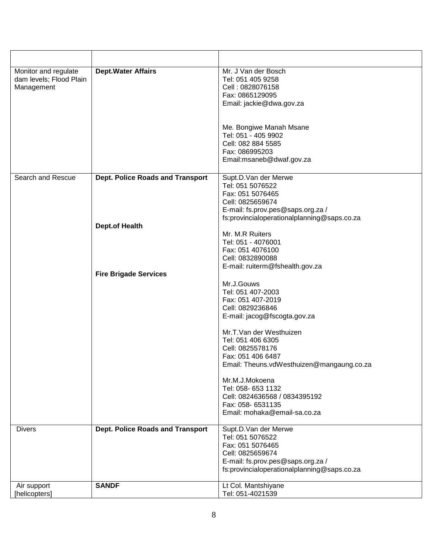| Monitor and regulate<br>dam levels; Flood Plain<br>Management | <b>Dept.Water Affairs</b>               | Mr. J Van der Bosch<br>Tel: 051 405 9258<br>Cell: 0828076158<br>Fax: 0865129095<br>Email: jackie@dwa.gov.za                                                          |
|---------------------------------------------------------------|-----------------------------------------|----------------------------------------------------------------------------------------------------------------------------------------------------------------------|
|                                                               |                                         | Me. Bongiwe Manah Msane<br>Tel: 051 - 405 9902                                                                                                                       |
|                                                               |                                         | Cell: 082 884 5585<br>Fax: 086995203<br>Email:msaneb@dwaf.gov.za                                                                                                     |
|                                                               |                                         |                                                                                                                                                                      |
| Search and Rescue                                             | <b>Dept. Police Roads and Transport</b> | Supt.D.Van der Merwe<br>Tel: 051 5076522<br>Fax: 051 5076465<br>Cell: 0825659674<br>E-mail: fs.prov.pes@saps.org.za /                                                |
|                                                               |                                         | fs:provincialoperationalplanning@saps.co.za                                                                                                                          |
|                                                               | <b>Dept.of Health</b>                   | Mr. M.R Ruiters<br>Tel: 051 - 4076001<br>Fax: 051 4076100<br>Cell: 0832890088<br>E-mail: ruiterm@fshealth.gov.za                                                     |
|                                                               | <b>Fire Brigade Services</b>            |                                                                                                                                                                      |
|                                                               |                                         | Mr.J.Gouws<br>Tel: 051 407-2003<br>Fax: 051 407-2019<br>Cell: 0829236846<br>E-mail: jacog@fscogta.gov.za                                                             |
|                                                               |                                         | Mr.T.Van der Westhuizen<br>Tel: 051 406 6305<br>Cell: 0825578176                                                                                                     |
|                                                               |                                         | Fax: 051 406 6487<br>Email: Theuns.vdWesthuizen@mangaung.co.za                                                                                                       |
|                                                               |                                         | Mr.M.J.Mokoena<br>Tel: 058- 653 1132<br>Cell: 0824636568 / 0834395192<br>Fax: 058- 6531135<br>Email: mohaka@email-sa.co.za                                           |
|                                                               |                                         |                                                                                                                                                                      |
| <b>Divers</b>                                                 | <b>Dept. Police Roads and Transport</b> | Supt.D.Van der Merwe<br>Tel: 051 5076522<br>Fax: 051 5076465<br>Cell: 0825659674<br>E-mail: fs.prov.pes@saps.org.za /<br>fs:provincialoperationalplanning@saps.co.za |
| Air support                                                   | <b>SANDF</b>                            | Lt Col. Mantshiyane                                                                                                                                                  |
| [helicopters]                                                 |                                         | Tel: 051-4021539                                                                                                                                                     |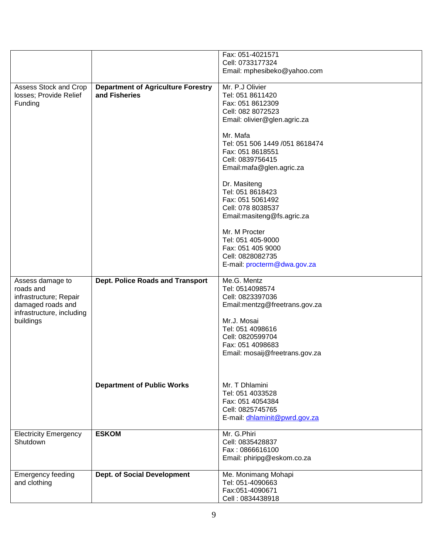|                              |                                           | Fax: 051-4021571                    |
|------------------------------|-------------------------------------------|-------------------------------------|
|                              |                                           | Cell: 0733177324                    |
|                              |                                           | Email: mphesibeko@yahoo.com         |
|                              |                                           |                                     |
| Assess Stock and Crop        | <b>Department of Agriculture Forestry</b> | Mr. P.J Olivier                     |
| losses; Provide Relief       | and Fisheries                             | Tel: 051 8611420                    |
|                              |                                           |                                     |
| Funding                      |                                           | Fax: 051 8612309                    |
|                              |                                           | Cell: 082 8072523                   |
|                              |                                           | Email: olivier@glen.agric.za        |
|                              |                                           |                                     |
|                              |                                           | Mr. Mafa                            |
|                              |                                           | Tel: 051 506 1449 /051 8618474      |
|                              |                                           |                                     |
|                              |                                           | Fax: 051 8618551                    |
|                              |                                           | Cell: 0839756415                    |
|                              |                                           | Email:mafa@glen.agric.za            |
|                              |                                           |                                     |
|                              |                                           | Dr. Masiteng                        |
|                              |                                           | Tel: 051 8618423                    |
|                              |                                           | Fax: 051 5061492                    |
|                              |                                           |                                     |
|                              |                                           | Cell: 078 8038537                   |
|                              |                                           | Email:masiteng@fs.agric.za          |
|                              |                                           |                                     |
|                              |                                           | Mr. M Procter                       |
|                              |                                           | Tel: 051 405-9000                   |
|                              |                                           | Fax: 051 405 9000                   |
|                              |                                           |                                     |
|                              |                                           | Cell: 0828082735                    |
|                              |                                           | E-mail: procterm@dwa.gov.za         |
|                              |                                           |                                     |
| Assess damage to             | <b>Dept. Police Roads and Transport</b>   | Me.G. Mentz                         |
|                              |                                           | Tel: 0514098574                     |
|                              |                                           |                                     |
| roads and                    |                                           |                                     |
| infrastructure; Repair       |                                           | Cell: 0823397036                    |
| damaged roads and            |                                           | Email:mentzg@freetrans.gov.za       |
| infrastructure, including    |                                           |                                     |
| buildings                    |                                           | Mr.J. Mosai                         |
|                              |                                           | Tel: 051 4098616                    |
|                              |                                           | Cell: 0820599704                    |
|                              |                                           |                                     |
|                              |                                           | Fax: 051 4098683                    |
|                              |                                           | Email: mosaij@freetrans.gov.za      |
|                              |                                           |                                     |
|                              |                                           |                                     |
|                              |                                           |                                     |
|                              | <b>Department of Public Works</b>         | Mr. T Dhlamini                      |
|                              |                                           | Tel: 051 4033528                    |
|                              |                                           | Fax: 051 4054384                    |
|                              |                                           |                                     |
|                              |                                           | Cell: 0825745765                    |
|                              |                                           | E-mail: dhlaminit@pwrd.gov.za       |
|                              |                                           |                                     |
| <b>Electricity Emergency</b> | <b>ESKOM</b>                              | Mr. G.Phiri                         |
| Shutdown                     |                                           | Cell: 0835428837                    |
|                              |                                           | Fax: 0866616100                     |
|                              |                                           | Email: phiripg@eskom.co.za          |
|                              |                                           |                                     |
|                              |                                           |                                     |
| <b>Emergency feeding</b>     | <b>Dept. of Social Development</b>        | Me. Monimang Mohapi                 |
| and clothing                 |                                           | Tel: 051-4090663                    |
|                              |                                           | Fax:051-4090671<br>Cell: 0834438918 |